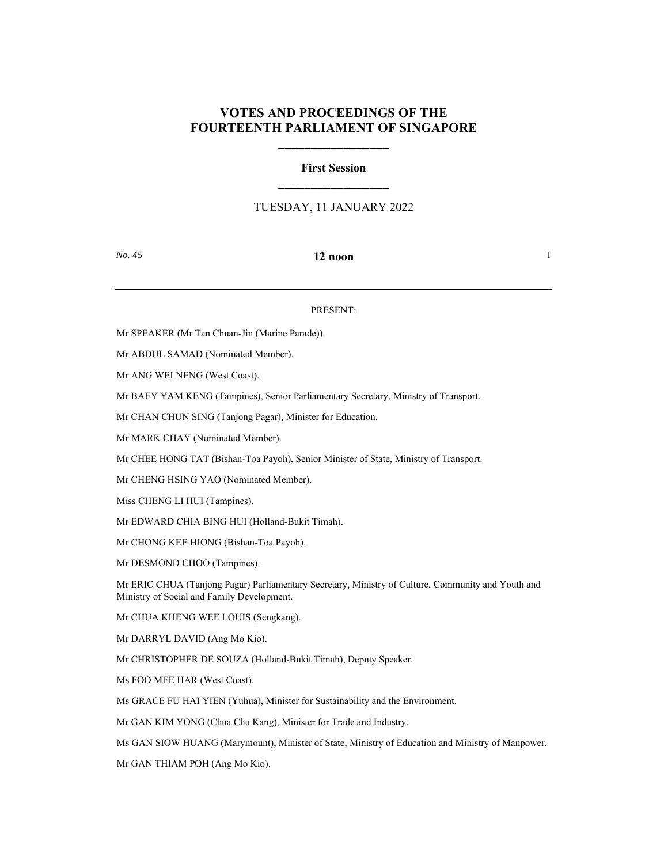## **VOTES AND PROCEEDINGS OF THE FOURTEENTH PARLIAMENT OF SINGAPORE**

**\_\_\_\_\_\_\_\_\_\_\_\_\_\_\_\_\_**

# **First Session \_\_\_\_\_\_\_\_\_\_\_\_\_\_\_\_\_**

## TUESDAY, 11 JANUARY 2022

### *No. 45* **12 noon** 1

### PRESENT:

Mr SPEAKER (Mr Tan Chuan-Jin (Marine Parade)).

Mr ABDUL SAMAD (Nominated Member).

Mr ANG WEI NENG (West Coast).

Mr BAEY YAM KENG (Tampines), Senior Parliamentary Secretary, Ministry of Transport.

Mr CHAN CHUN SING (Tanjong Pagar), Minister for Education.

Mr MARK CHAY (Nominated Member).

Mr CHEE HONG TAT (Bishan-Toa Payoh), Senior Minister of State, Ministry of Transport.

Mr CHENG HSING YAO (Nominated Member).

Miss CHENG LI HUI (Tampines).

Mr EDWARD CHIA BING HUI (Holland-Bukit Timah).

Mr CHONG KEE HIONG (Bishan-Toa Payoh).

Mr DESMOND CHOO (Tampines).

Mr ERIC CHUA (Tanjong Pagar) Parliamentary Secretary, Ministry of Culture, Community and Youth and Ministry of Social and Family Development.

Mr CHUA KHENG WEE LOUIS (Sengkang).

Mr DARRYL DAVID (Ang Mo Kio).

Mr CHRISTOPHER DE SOUZA (Holland-Bukit Timah), Deputy Speaker.

Ms FOO MEE HAR (West Coast).

Ms GRACE FU HAI YIEN (Yuhua), Minister for Sustainability and the Environment.

Mr GAN KIM YONG (Chua Chu Kang), Minister for Trade and Industry.

Ms GAN SIOW HUANG (Marymount), Minister of State, Ministry of Education and Ministry of Manpower.

Mr GAN THIAM POH (Ang Mo Kio).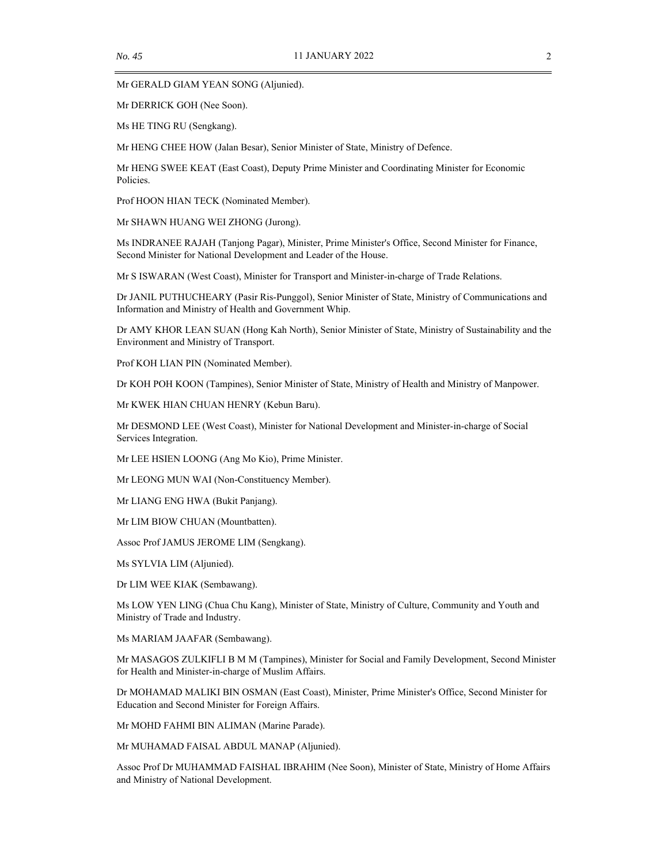Mr GERALD GIAM YEAN SONG (Aljunied).

Mr DERRICK GOH (Nee Soon).

Ms HE TING RU (Sengkang).

Mr HENG CHEE HOW (Jalan Besar), Senior Minister of State, Ministry of Defence.

Mr HENG SWEE KEAT (East Coast), Deputy Prime Minister and Coordinating Minister for Economic Policies.

Prof HOON HIAN TECK (Nominated Member).

Mr SHAWN HUANG WEI ZHONG (Jurong).

Ms INDRANEE RAJAH (Tanjong Pagar), Minister, Prime Minister's Office, Second Minister for Finance, Second Minister for National Development and Leader of the House.

Mr S ISWARAN (West Coast), Minister for Transport and Minister-in-charge of Trade Relations.

Dr JANIL PUTHUCHEARY (Pasir Ris-Punggol), Senior Minister of State, Ministry of Communications and Information and Ministry of Health and Government Whip.

Dr AMY KHOR LEAN SUAN (Hong Kah North), Senior Minister of State, Ministry of Sustainability and the Environment and Ministry of Transport.

Prof KOH LIAN PIN (Nominated Member).

Dr KOH POH KOON (Tampines), Senior Minister of State, Ministry of Health and Ministry of Manpower.

Mr KWEK HIAN CHUAN HENRY (Kebun Baru).

Mr DESMOND LEE (West Coast), Minister for National Development and Minister-in-charge of Social Services Integration.

Mr LEE HSIEN LOONG (Ang Mo Kio), Prime Minister.

Mr LEONG MUN WAI (Non-Constituency Member).

Mr LIANG ENG HWA (Bukit Panjang).

Mr LIM BIOW CHUAN (Mountbatten).

Assoc Prof JAMUS JEROME LIM (Sengkang).

Ms SYLVIA LIM (Aljunied).

Dr LIM WEE KIAK (Sembawang).

Ms LOW YEN LING (Chua Chu Kang), Minister of State, Ministry of Culture, Community and Youth and Ministry of Trade and Industry.

Ms MARIAM JAAFAR (Sembawang).

Mr MASAGOS ZULKIFLI B M M (Tampines), Minister for Social and Family Development, Second Minister for Health and Minister-in-charge of Muslim Affairs.

Dr MOHAMAD MALIKI BIN OSMAN (East Coast), Minister, Prime Minister's Office, Second Minister for Education and Second Minister for Foreign Affairs.

Mr MOHD FAHMI BIN ALIMAN (Marine Parade).

Mr MUHAMAD FAISAL ABDUL MANAP (Aljunied).

Assoc Prof Dr MUHAMMAD FAISHAL IBRAHIM (Nee Soon), Minister of State, Ministry of Home Affairs and Ministry of National Development.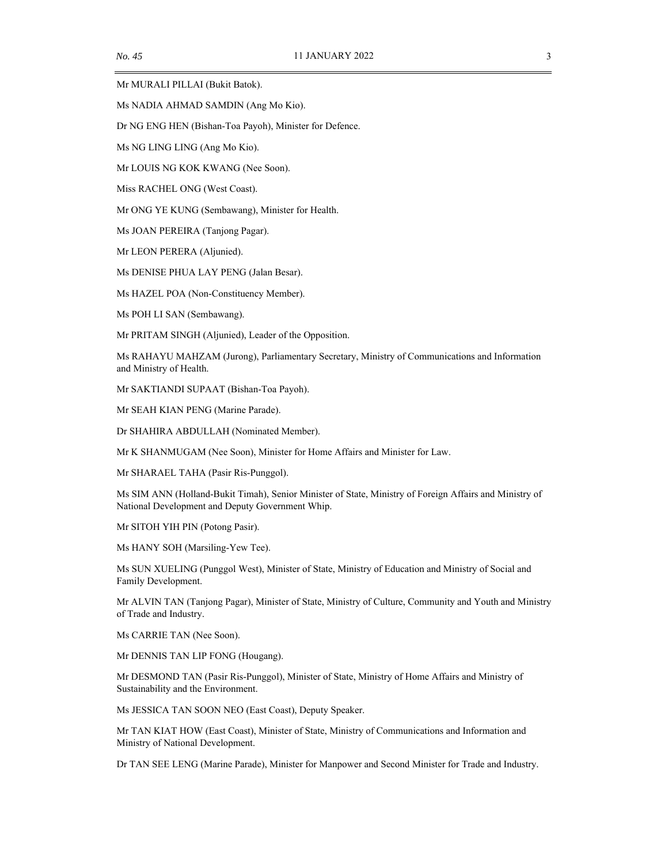Mr MURALI PILLAI (Bukit Batok).

Ms NADIA AHMAD SAMDIN (Ang Mo Kio).

Dr NG ENG HEN (Bishan-Toa Payoh), Minister for Defence.

Ms NG LING LING (Ang Mo Kio).

Mr LOUIS NG KOK KWANG (Nee Soon).

Miss RACHEL ONG (West Coast).

Mr ONG YE KUNG (Sembawang), Minister for Health.

Ms JOAN PEREIRA (Tanjong Pagar).

Mr LEON PERERA (Aljunied).

Ms DENISE PHUA LAY PENG (Jalan Besar).

Ms HAZEL POA (Non-Constituency Member).

Ms POH LI SAN (Sembawang).

Mr PRITAM SINGH (Aljunied), Leader of the Opposition.

Ms RAHAYU MAHZAM (Jurong), Parliamentary Secretary, Ministry of Communications and Information and Ministry of Health.

Mr SAKTIANDI SUPAAT (Bishan-Toa Payoh).

Mr SEAH KIAN PENG (Marine Parade).

Dr SHAHIRA ABDULLAH (Nominated Member).

Mr K SHANMUGAM (Nee Soon), Minister for Home Affairs and Minister for Law.

Mr SHARAEL TAHA (Pasir Ris-Punggol).

Ms SIM ANN (Holland-Bukit Timah), Senior Minister of State, Ministry of Foreign Affairs and Ministry of National Development and Deputy Government Whip.

Mr SITOH YIH PIN (Potong Pasir).

Ms HANY SOH (Marsiling-Yew Tee).

Ms SUN XUELING (Punggol West), Minister of State, Ministry of Education and Ministry of Social and Family Development.

Mr ALVIN TAN (Tanjong Pagar), Minister of State, Ministry of Culture, Community and Youth and Ministry of Trade and Industry.

Ms CARRIE TAN (Nee Soon).

Mr DENNIS TAN LIP FONG (Hougang).

Mr DESMOND TAN (Pasir Ris-Punggol), Minister of State, Ministry of Home Affairs and Ministry of Sustainability and the Environment.

Ms JESSICA TAN SOON NEO (East Coast), Deputy Speaker.

Mr TAN KIAT HOW (East Coast), Minister of State, Ministry of Communications and Information and Ministry of National Development.

Dr TAN SEE LENG (Marine Parade), Minister for Manpower and Second Minister for Trade and Industry.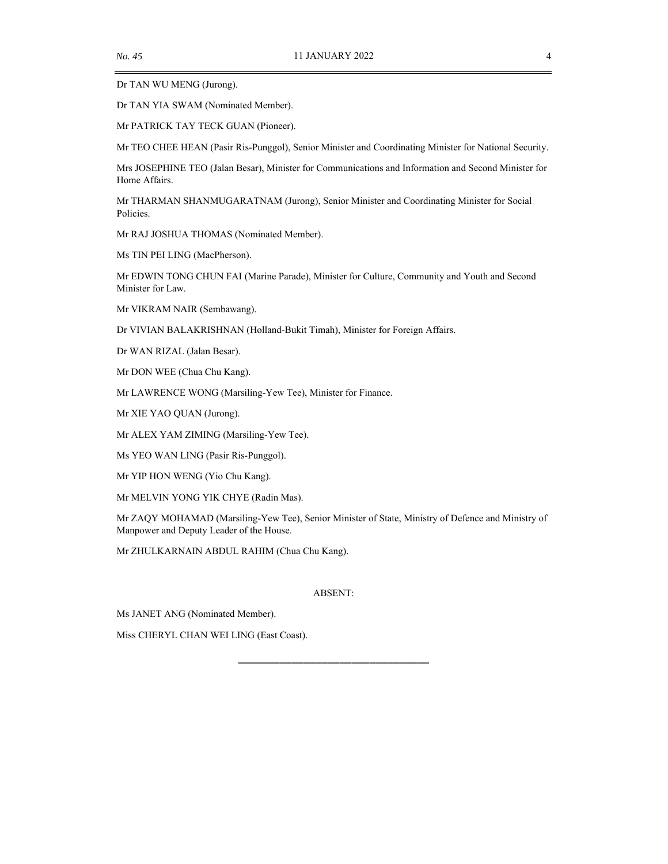Dr TAN WU MENG (Jurong).

Dr TAN YIA SWAM (Nominated Member).

Mr PATRICK TAY TECK GUAN (Pioneer).

Mr TEO CHEE HEAN (Pasir Ris-Punggol), Senior Minister and Coordinating Minister for National Security.

Mrs JOSEPHINE TEO (Jalan Besar), Minister for Communications and Information and Second Minister for Home Affairs.

Mr THARMAN SHANMUGARATNAM (Jurong), Senior Minister and Coordinating Minister for Social Policies.

Mr RAJ JOSHUA THOMAS (Nominated Member).

Ms TIN PEI LING (MacPherson).

Mr EDWIN TONG CHUN FAI (Marine Parade), Minister for Culture, Community and Youth and Second Minister for Law.

Mr VIKRAM NAIR (Sembawang).

Dr VIVIAN BALAKRISHNAN (Holland-Bukit Timah), Minister for Foreign Affairs.

Dr WAN RIZAL (Jalan Besar).

Mr DON WEE (Chua Chu Kang).

Mr LAWRENCE WONG (Marsiling-Yew Tee), Minister for Finance.

Mr XIE YAO QUAN (Jurong).

Mr ALEX YAM ZIMING (Marsiling-Yew Tee).

Ms YEO WAN LING (Pasir Ris-Punggol).

Mr YIP HON WENG (Yio Chu Kang).

Mr MELVIN YONG YIK CHYE (Radin Mas).

Mr ZAQY MOHAMAD (Marsiling-Yew Tee), Senior Minister of State, Ministry of Defence and Ministry of Manpower and Deputy Leader of the House.

Mr ZHULKARNAIN ABDUL RAHIM (Chua Chu Kang).

### ABSENT:

\_\_\_\_\_\_\_\_\_\_\_\_\_\_\_\_\_\_\_\_\_\_\_\_\_\_\_\_\_\_\_\_

Ms JANET ANG (Nominated Member).

Miss CHERYL CHAN WEI LING (East Coast).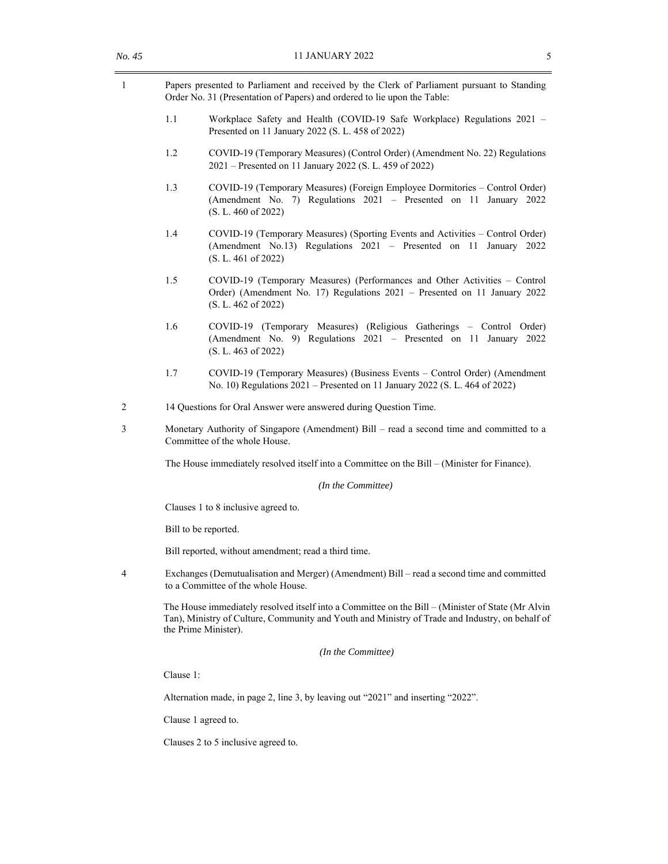| Papers presented to Parliament and received by the Clerk of Parliament pursuant to Standing |
|---------------------------------------------------------------------------------------------|
| Order No. 31 (Presentation of Papers) and ordered to lie upon the Table:                    |

- 1.1 Workplace Safety and Health (COVID-19 Safe Workplace) Regulations 2021 Presented on 11 January 2022 (S. L. 458 of 2022)
- 1.2 COVID-19 (Temporary Measures) (Control Order) (Amendment No. 22) Regulations 2021 – Presented on 11 January 2022 (S. L. 459 of 2022)
- 1.3 COVID-19 (Temporary Measures) (Foreign Employee Dormitories Control Order) (Amendment No. 7) Regulations 2021 – Presented on 11 January 2022 (S. L. 460 of 2022)
- 1.4 COVID-19 (Temporary Measures) (Sporting Events and Activities Control Order) (Amendment No.13) Regulations 2021 – Presented on 11 January 2022 (S. L. 461 of 2022)
- 1.5 COVID-19 (Temporary Measures) (Performances and Other Activities Control Order) (Amendment No. 17) Regulations 2021 – Presented on 11 January 2022 (S. L. 462 of 2022)
- 1.6 COVID-19 (Temporary Measures) (Religious Gatherings Control Order) (Amendment No. 9) Regulations 2021 – Presented on 11 January 2022 (S. L. 463 of 2022)
- 1.7 COVID-19 (Temporary Measures) (Business Events Control Order) (Amendment No. 10) Regulations 2021 – Presented on 11 January 2022 (S. L. 464 of 2022)
- 2 14 Questions for Oral Answer were answered during Question Time.
- 3 Monetary Authority of Singapore (Amendment) Bill read a second time and committed to a Committee of the whole House.

The House immediately resolved itself into a Committee on the Bill – (Minister for Finance).

*(In the Committee)* 

Clauses 1 to 8 inclusive agreed to.

Bill to be reported.

Bill reported, without amendment; read a third time.

4 Exchanges (Demutualisation and Merger) (Amendment) Bill – read a second time and committed to a Committee of the whole House.

The House immediately resolved itself into a Committee on the Bill – (Minister of State (Mr Alvin Tan), Ministry of Culture, Community and Youth and Ministry of Trade and Industry, on behalf of the Prime Minister).

*(In the Committee)* 

Clause 1:

Alternation made, in page 2, line 3, by leaving out "2021" and inserting "2022".

Clause 1 agreed to.

Clauses 2 to 5 inclusive agreed to.